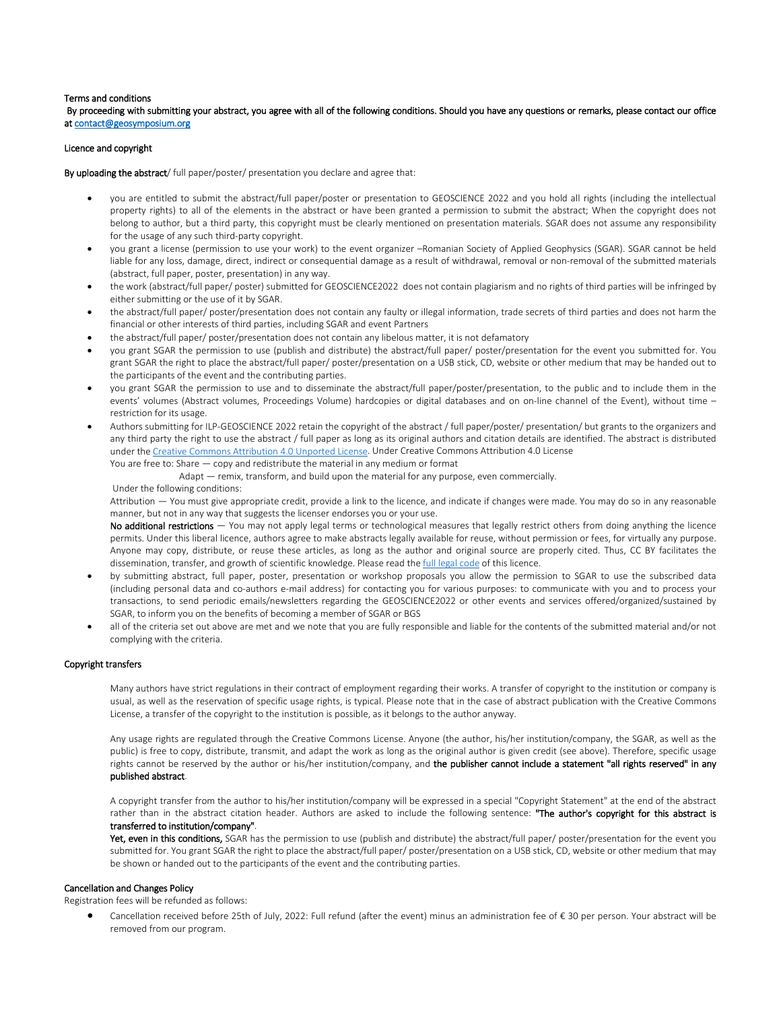### Terms and conditions

 By proceeding with submitting your abstract, you agree with all of the following conditions. Should you have any questions or remarks, please contact our office a[t contact@geosymposium.org](mailto:contact@geosymposium.org) 

# Licence and copyright

By uploading the abstract/ full paper/poster/ presentation you declare and agree that:

- you are entitled to submit the abstract/full paper/poster or presentation to GEOSCIENCE 2022 and you hold all rights (including the intellectual property rights) to all of the elements in the abstract or have been granted a permission to submit the abstract; When the copyright does not belong to author, but a third party, this copyright must be clearly mentioned on presentation materials. SGAR does not assume any responsibility for the usage of any such third-party copyright.
- you grant a license (permission to use your work) to the event organizer –Romanian Society of Applied Geophysics (SGAR). SGAR cannot be held liable for any loss, damage, direct, indirect or consequential damage as a result of withdrawal, removal or non-removal of the submitted materials (abstract, full paper, poster, presentation) in any way.
- the work (abstract/full paper/ poster) submitted for GEOSCIENCE2022 does not contain plagiarism and no rights of third parties will be infringed by either submitting or the use of it by SGAR.
- the abstract/full paper/ poster/presentation does not contain any faulty or illegal information, trade secrets of third parties and does not harm the financial or other interests of third parties, including SGAR and event Partners
- the abstract/full paper/ poster/presentation does not contain any libelous matter, it is not defamatory
- you grant SGAR the permission to use (publish and distribute) the abstract/full paper/ poster/presentation for the event you submitted for. You grant SGAR the right to place the abstract/full paper/ poster/presentation on a USB stick, CD, website or other medium that may be handed out to the participants of the event and the contributing parties.
- you grant SGAR the permission to use and to disseminate the abstract/full paper/poster/presentation, to the public and to include them in the events' volumes (Abstract volumes, Proceedings Volume) hardcopies or digital databases and on on-line channel of the Event), without time – restriction for its usage.
- Authors submitting for ILP-GEOSCIENCE 2022 retain the copyright of the abstract / full paper/poster/ presentation/ but grants to the organizers and any third party the right to use the abstract / full paper as long as its original authors and citation details are identified. The abstract is distributed under th[e Creative Commons Attribution 4.0 Unported License.](https://creativecommons.org/licenses/by/4.0/) Under Creative Commons Attribution 4.0 License You are free to: Share — copy and redistribute the material in any medium or format

Adapt — remix, transform, and build upon the material for any purpose, even commercially.

#### Under the following conditions:

Attribution — You must give appropriate credit, provide a link to the licence, and indicate if changes were made. You may do so in any reasonable manner, but not in any way that suggests the licenser endorses you or your use.

No additional restrictions - You may not apply legal terms or technological measures that legally restrict others from doing anything the licence permits. Under this liberal licence, authors agree to make abstracts legally available for reuse, without permission or fees, for virtually any purpose. Anyone may copy, distribute, or reuse these articles, as long as the author and original source are properly cited. Thus, CC BY facilitates the dissemination, transfer, and growth of scientific knowledge. Please read th[e full legal code](https://creativecommons.org/licenses/by/4.0/legalcode) of this licence.

- by submitting abstract, full paper, poster, presentation or workshop proposals you allow the permission to SGAR to use the subscribed data (including personal data and co-authors e-mail address) for contacting you for various purposes: to communicate with you and to process your transactions, to send periodic emails/newsletters regarding the GEOSCIENCE2022 or other events and services offered/organized/sustained by SGAR, to inform you on the benefits of becoming a member of SGAR or BGS
- all of the criteria set out above are met and we note that you are fully responsible and liable for the contents of the submitted material and/or not complying with the criteria.

# Copyright transfers

Many authors have strict regulations in their contract of employment regarding their works. A transfer of copyright to the institution or company is usual, as well as the reservation of specific usage rights, is typical. Please note that in the case of abstract publication with the Creative Commons License, a transfer of the copyright to the institution is possible, as it belongs to the author anyway.

Any usage rights are regulated through the Creative Commons License. Anyone (the author, his/her institution/company, the SGAR, as well as the public) is free to copy, distribute, transmit, and adapt the work as long as the original author is given credit (see above). Therefore, specific usage rights cannot be reserved by the author or his/her institution/company, and the publisher cannot include a statement "all rights reserved" in any published abstract.

A copyright transfer from the author to his/her institution/company will be expressed in a special "Copyright Statement" at the end of the abstract rather than in the abstract citation header. Authors are asked to include the following sentence: "The author's copyright for this abstract is transferred to institution/company".

Yet, even in this conditions, SGAR has the permission to use (publish and distribute) the abstract/full paper/ poster/presentation for the event you submitted for. You grant SGAR the right to place the abstract/full paper/ poster/presentation on a USB stick, CD, website or other medium that may be shown or handed out to the participants of the event and the contributing parties.

### Cancellation and Changes Policy

Registration fees will be refunded as follows:

• Cancellation received before 25th of July, 2022: Full refund (after the event) minus an administration fee of € 30 per person. Your abstract will be removed from our program.